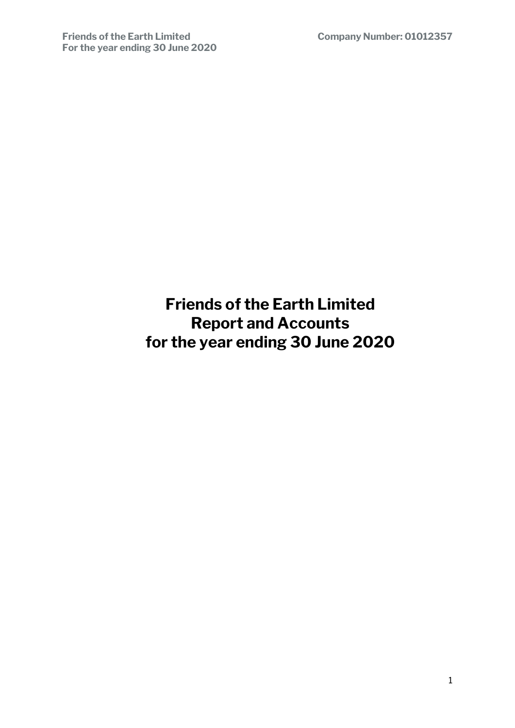Friends of the Earth Limited Report and Accounts for the year ending 30 June 2020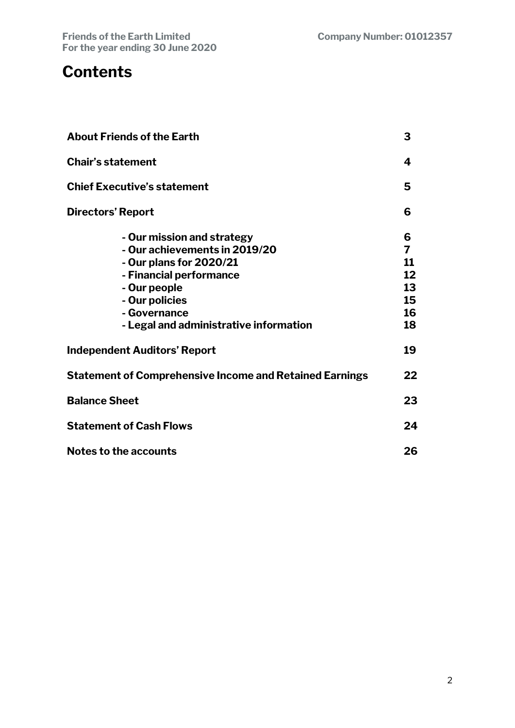# **Contents**

| <b>About Friends of the Earth</b>                                                                                                                                                                             | 3                                          |
|---------------------------------------------------------------------------------------------------------------------------------------------------------------------------------------------------------------|--------------------------------------------|
| <b>Chair's statement</b>                                                                                                                                                                                      | 4                                          |
| <b>Chief Executive's statement</b>                                                                                                                                                                            | 5                                          |
| <b>Directors' Report</b>                                                                                                                                                                                      | 6                                          |
| - Our mission and strategy<br>- Our achievements in 2019/20<br>- Our plans for 2020/21<br>- Financial performance<br>- Our people<br>- Our policies<br>- Governance<br>- Legal and administrative information | 6<br>7<br>11<br>12<br>13<br>15<br>16<br>18 |
| <b>Independent Auditors' Report</b>                                                                                                                                                                           | 19                                         |
| <b>Statement of Comprehensive Income and Retained Earnings</b>                                                                                                                                                | 22                                         |
| <b>Balance Sheet</b>                                                                                                                                                                                          | 23                                         |
| <b>Statement of Cash Flows</b>                                                                                                                                                                                | 24                                         |
| Notes to the accounts                                                                                                                                                                                         | 26                                         |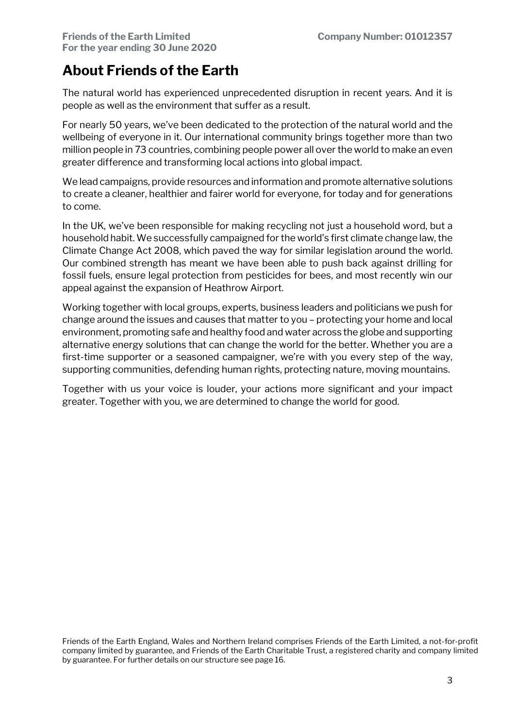## About Friends of the Earth

The natural world has experienced unprecedented disruption in recent years. And it is people as well as the environment that suffer as a result.

For nearly 50 years, we've been dedicated to the protection of the natural world and the wellbeing of everyone in it. Our international community brings together more than two million people in 73 countries, combining people power all over the world to make an even greater difference and transforming local actions into global impact.

We lead campaigns, provide resources and information and promote alternative solutions to create a cleaner, healthier and fairer world for everyone, for today and for generations to come.

In the UK, we've been responsible for making recycling not just a household word, but a household habit. We successfully campaigned for the world's first climate change law, the Climate Change Act 2008, which paved the way for similar legislation around the world. Our combined strength has meant we have been able to push back against drilling for fossil fuels, ensure legal protection from pesticides for bees, and most recently win our appeal against the expansion of Heathrow Airport.

Working together with local groups, experts, business leaders and politicians we push for change around the issues and causes that matter to you – protecting your home and local environment, promoting safe and healthy food and water across the globe and supporting alternative energy solutions that can change the world for the better. Whether you are a first-time supporter or a seasoned campaigner, we're with you every step of the way, supporting communities, defending human rights, protecting nature, moving mountains.

Together with us your voice is louder, your actions more significant and your impact greater. Together with you, we are determined to change the world for good.

Friends of the Earth England, Wales and Northern Ireland comprises Friends of the Earth Limited, a not-for-profit company limited by guarantee, and Friends of the Earth Charitable Trust, a registered charity and company limited by guarantee. For further details on our structure see page 16.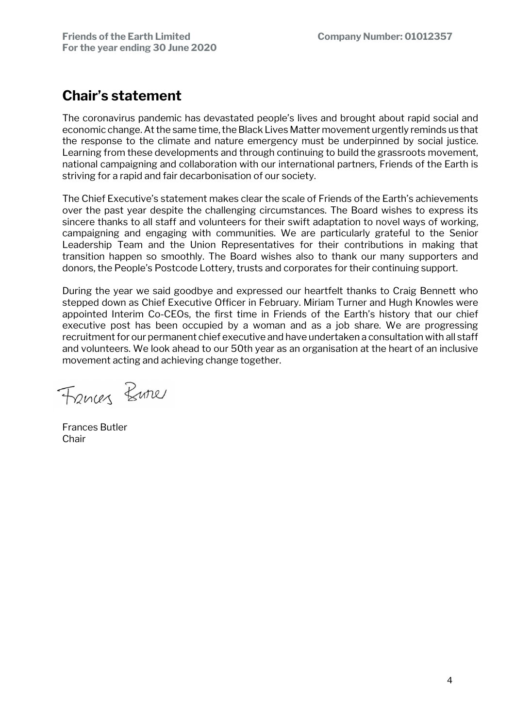## Chair's statement

The coronavirus pandemic has devastated people's lives and brought about rapid social and economic change. At the same time, the Black Lives Matter movement urgently reminds us that the response to the climate and nature emergency must be underpinned by social justice. Learning from these developments and through continuing to build the grassroots movement, national campaigning and collaboration with our international partners, Friends of the Earth is striving for a rapid and fair decarbonisation of our society.

The Chief Executive's statement makes clear the scale of Friends of the Earth's achievements over the past year despite the challenging circumstances. The Board wishes to express its sincere thanks to all staff and volunteers for their swift adaptation to novel ways of working, campaigning and engaging with communities. We are particularly grateful to the Senior Leadership Team and the Union Representatives for their contributions in making that transition happen so smoothly. The Board wishes also to thank our many supporters and donors, the People's Postcode Lottery, trusts and corporates for their continuing support.

During the year we said goodbye and expressed our heartfelt thanks to Craig Bennett who stepped down as Chief Executive Officer in February. Miriam Turner and Hugh Knowles were appointed Interim Co-CEOs, the first time in Friends of the Earth's history that our chief executive post has been occupied by a woman and as a job share. We are progressing recruitment for our permanent chief executive and have undertaken a consultation with all staff and volunteers. We look ahead to our 50th year as an organisation at the heart of an inclusive movement acting and achieving change together.

Frances Bure

Frances Butler **Chair**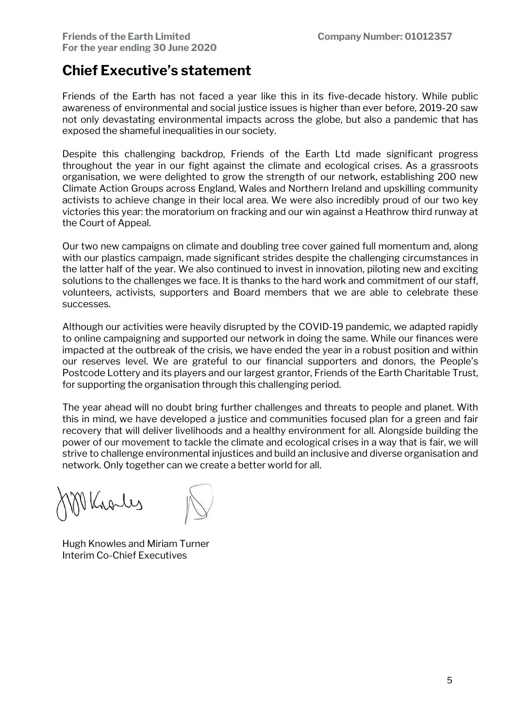## Chief Executive's statement

Friends of the Earth has not faced a year like this in its five-decade history. While public awareness of environmental and social justice issues is higher than ever before, 2019-20 saw not only devastating environmental impacts across the globe, but also a pandemic that has exposed the shameful inequalities in our society.

Despite this challenging backdrop, Friends of the Earth Ltd made significant progress throughout the year in our fight against the climate and ecological crises. As a grassroots organisation, we were delighted to grow the strength of our network, establishing 200 new Climate Action Groups across England, Wales and Northern Ireland and upskilling community activists to achieve change in their local area. We were also incredibly proud of our two key victories this year: the moratorium on fracking and our win against a Heathrow third runway at the Court of Appeal.

Our two new campaigns on climate and doubling tree cover gained full momentum and, along with our plastics campaign, made significant strides despite the challenging circumstances in the latter half of the year. We also continued to invest in innovation, piloting new and exciting solutions to the challenges we face. It is thanks to the hard work and commitment of our staff, volunteers, activists, supporters and Board members that we are able to celebrate these successes.

Although our activities were heavily disrupted by the COVID-19 pandemic, we adapted rapidly to online campaigning and supported our network in doing the same. While our finances were impacted at the outbreak of the crisis, we have ended the year in a robust position and within our reserves level. We are grateful to our financial supporters and donors, the People's Postcode Lottery and its players and our largest grantor, Friends of the Earth Charitable Trust, for supporting the organisation through this challenging period.

The year ahead will no doubt bring further challenges and threats to people and planet. With this in mind, we have developed a justice and communities focused plan for a green and fair recovery that will deliver livelihoods and a healthy environment for all. Alongside building the power of our movement to tackle the climate and ecological crises in a way that is fair, we will strive to challenge environmental injustices and build an inclusive and diverse organisation and network. Only together can we create a better world for all.

Vkroles

Hugh Knowles and Miriam Turner Interim Co-Chief Executives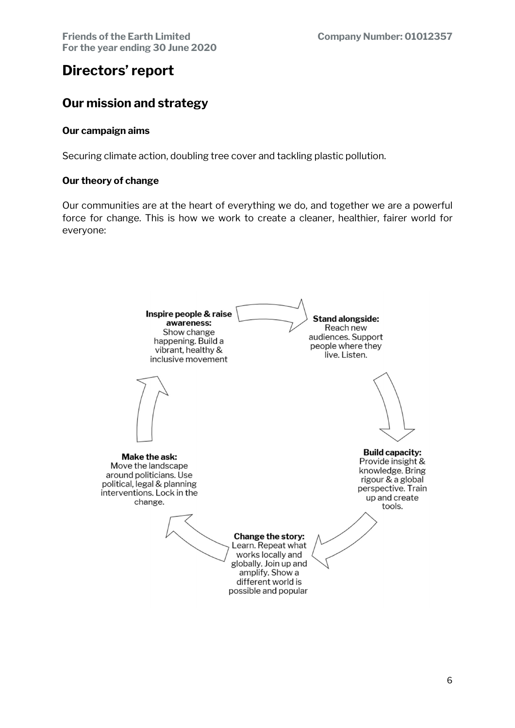## Directors' report

### Our mission and strategy

### Our campaign aims

Securing climate action, doubling tree cover and tackling plastic pollution.

### Our theory of change

Our communities are at the heart of everything we do, and together we are a powerful force for change. This is how we work to create a cleaner, healthier, fairer world for everyone:

Inspire people & raise **Stand alongside:** awareness: Reach new Show change audiences. Support happening. Build a people where they vibrant, healthy & live. Listen. inclusive movement **Build capacity:** Make the ask: Provide insight & Move the landscape knowledge. Bring around politicians. Use rigour & a global political, legal & planning perspective. Train interventions. Lock in the up and create change. tools. **Change the story:** Learn. Repeat what works locally and globally. Join up and amplify. Show a different world is possible and popular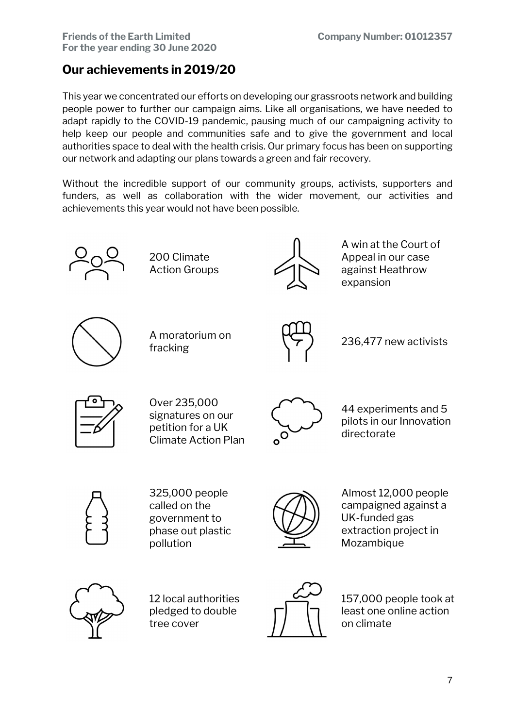### Our achievements in 2019/20

This year we concentrated our efforts on developing our grassroots network and building people power to further our campaign aims. Like all organisations, we have needed to adapt rapidly to the COVID-19 pandemic, pausing much of our campaigning activity to help keep our people and communities safe and to give the government and local authorities space to deal with the health crisis. Our primary focus has been on supporting our network and adapting our plans towards a green and fair recovery.

Without the incredible support of our community groups, activists, supporters and funders, as well as collaboration with the wider movement, our activities and achievements this year would not have been possible.



200 Climate Action Groups



A win at the Court of Appeal in our case against Heathrow expansion



A moratorium on Fracking 236,477 new activists





Over 235,000 signatures on our petition for a UK Climate Action Plan



44 experiments and 5 pilots in our Innovation directorate



325,000 people called on the government to phase out plastic pollution



Almost 12,000 people campaigned against a UK-funded gas extraction project in Mozambique



12 local authorities pledged to double tree cover



157,000 people took at least one online action on climate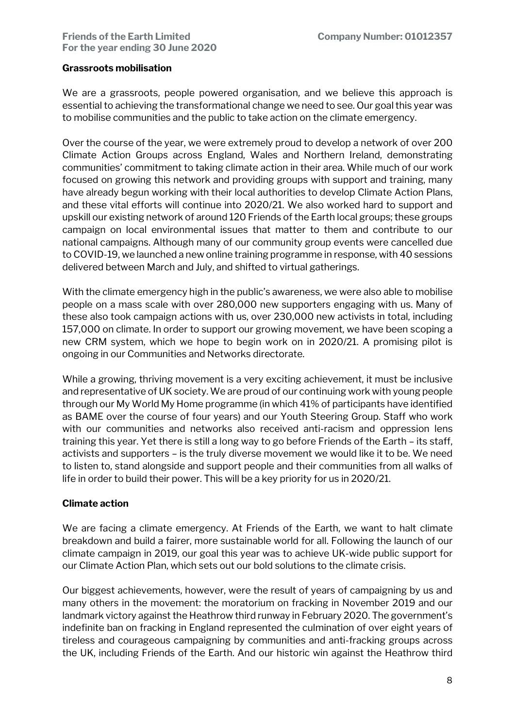### Grassroots mobilisation

We are a grassroots, people powered organisation, and we believe this approach is essential to achieving the transformational change we need to see. Our goal this year was to mobilise communities and the public to take action on the climate emergency.

Over the course of the year, we were extremely proud to develop a network of over 200 Climate Action Groups across England, Wales and Northern Ireland, demonstrating communities' commitment to taking climate action in their area. While much of our work focused on growing this network and providing groups with support and training, many have already begun working with their local authorities to develop Climate Action Plans, and these vital efforts will continue into 2020/21. We also worked hard to support and upskill our existing network of around 120 Friends of the Earth local groups; these groups campaign on local environmental issues that matter to them and contribute to our national campaigns. Although many of our community group events were cancelled due to COVID-19, we launched a new online training programme in response, with 40 sessions delivered between March and July, and shifted to virtual gatherings.

With the climate emergency high in the public's awareness, we were also able to mobilise people on a mass scale with over 280,000 new supporters engaging with us. Many of these also took campaign actions with us, over 230,000 new activists in total, including 157,000 on climate. In order to support our growing movement, we have been scoping a new CRM system, which we hope to begin work on in 2020/21. A promising pilot is ongoing in our Communities and Networks directorate.

While a growing, thriving movement is a very exciting achievement, it must be inclusive and representative of UK society. We are proud of our continuing work with young people through our My World My Home programme (in which 41% of participants have identified as BAME over the course of four years) and our Youth Steering Group. Staff who work with our communities and networks also received anti-racism and oppression lens training this year. Yet there is still a long way to go before Friends of the Earth – its staff, activists and supporters – is the truly diverse movement we would like it to be. We need to listen to, stand alongside and support people and their communities from all walks of life in order to build their power. This will be a key priority for us in 2020/21.

### Climate action

We are facing a climate emergency. At Friends of the Earth, we want to halt climate breakdown and build a fairer, more sustainable world for all. Following the launch of our climate campaign in 2019, our goal this year was to achieve UK-wide public support for our Climate Action Plan, which sets out our bold solutions to the climate crisis.

Our biggest achievements, however, were the result of years of campaigning by us and many others in the movement: the moratorium on fracking in November 2019 and our landmark victory against the Heathrow third runway in February 2020. The government's indefinite ban on fracking in England represented the culmination of over eight years of tireless and courageous campaigning by communities and anti-fracking groups across the UK, including Friends of the Earth. And our historic win against the Heathrow third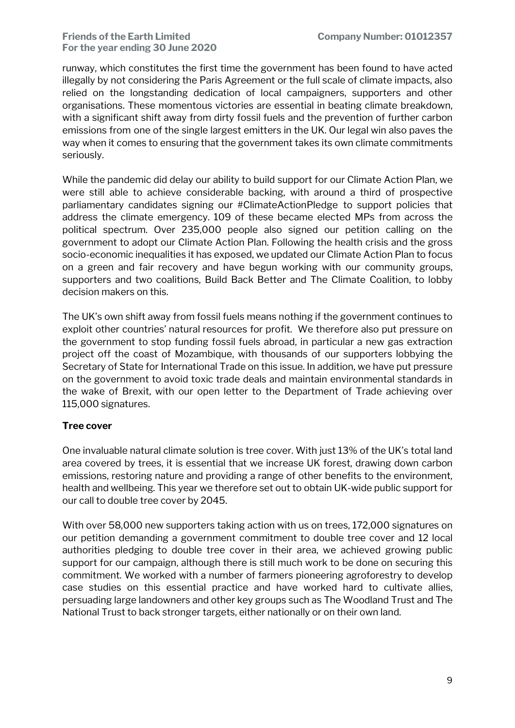runway, which constitutes the first time the government has been found to have acted illegally by not considering the Paris Agreement or the full scale of climate impacts, also relied on the longstanding dedication of local campaigners, supporters and other organisations. These momentous victories are essential in beating climate breakdown, with a significant shift away from dirty fossil fuels and the prevention of further carbon emissions from one of the single largest emitters in the UK. Our legal win also paves the way when it comes to ensuring that the government takes its own climate commitments seriously.

While the pandemic did delay our ability to build support for our Climate Action Plan, we were still able to achieve considerable backing, with around a third of prospective parliamentary candidates signing our #ClimateActionPledge to support policies that address the climate emergency. 109 of these became elected MPs from across the political spectrum. Over 235,000 people also signed our petition calling on the government to adopt our Climate Action Plan. Following the health crisis and the gross socio-economic inequalities it has exposed, we updated our Climate Action Plan to focus on a green and fair recovery and have begun working with our community groups, supporters and two coalitions, Build Back Better and The Climate Coalition, to lobby decision makers on this.

The UK's own shift away from fossil fuels means nothing if the government continues to exploit other countries' natural resources for profit. We therefore also put pressure on the government to stop funding fossil fuels abroad, in particular a new gas extraction project off the coast of Mozambique, with thousands of our supporters lobbying the Secretary of State for International Trade on this issue. In addition, we have put pressure on the government to avoid toxic trade deals and maintain environmental standards in the wake of Brexit, with our open letter to the Department of Trade achieving over 115,000 signatures.

### Tree cover

One invaluable natural climate solution is tree cover. With just 13% of the UK's total land area covered by trees, it is essential that we increase UK forest, drawing down carbon emissions, restoring nature and providing a range of other benefits to the environment, health and wellbeing. This year we therefore set out to obtain UK-wide public support for our call to double tree cover by 2045.

With over 58,000 new supporters taking action with us on trees, 172,000 signatures on our petition demanding a government commitment to double tree cover and 12 local authorities pledging to double tree cover in their area, we achieved growing public support for our campaign, although there is still much work to be done on securing this commitment. We worked with a number of farmers pioneering agroforestry to develop case studies on this essential practice and have worked hard to cultivate allies, persuading large landowners and other key groups such as The Woodland Trust and The National Trust to back stronger targets, either nationally or on their own land.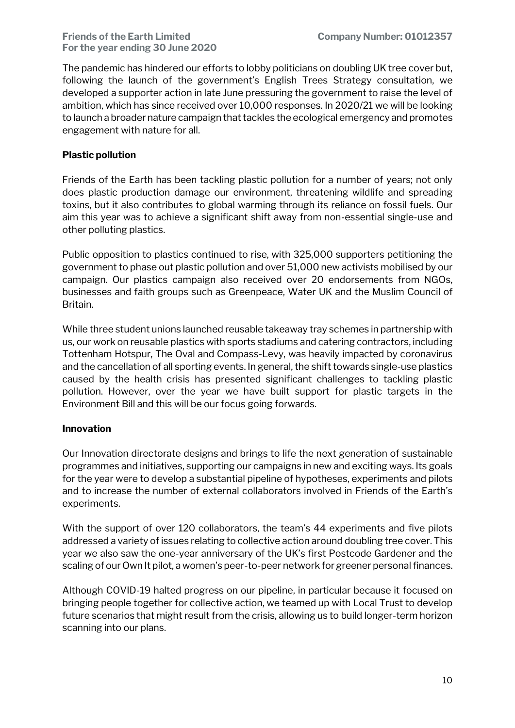The pandemic has hindered our efforts to lobby politicians on doubling UK tree cover but, following the launch of the government's English Trees Strategy consultation, we developed a supporter action in late June pressuring the government to raise the level of ambition, which has since received over 10,000 responses. In 2020/21 we will be looking to launch a broader nature campaign that tackles the ecological emergency and promotes engagement with nature for all.

### Plastic pollution

Friends of the Earth has been tackling plastic pollution for a number of years; not only does plastic production damage our environment, threatening wildlife and spreading toxins, but it also contributes to global warming through its reliance on fossil fuels. Our aim this year was to achieve a significant shift away from non-essential single-use and other polluting plastics.

Public opposition to plastics continued to rise, with 325,000 supporters petitioning the government to phase out plastic pollution and over 51,000 new activists mobilised by our campaign. Our plastics campaign also received over 20 endorsements from NGOs, businesses and faith groups such as Greenpeace, Water UK and the Muslim Council of Britain.

While three student unions launched reusable takeaway tray schemes in partnership with us, our work on reusable plastics with sports stadiums and catering contractors, including Tottenham Hotspur, The Oval and Compass-Levy, was heavily impacted by coronavirus and the cancellation of all sporting events. In general, the shift towards single-use plastics caused by the health crisis has presented significant challenges to tackling plastic pollution. However, over the year we have built support for plastic targets in the Environment Bill and this will be our focus going forwards.

### Innovation

Our Innovation directorate designs and brings to life the next generation of sustainable programmes and initiatives, supporting our campaigns in new and exciting ways. Its goals for the year were to develop a substantial pipeline of hypotheses, experiments and pilots and to increase the number of external collaborators involved in Friends of the Earth's experiments.

With the support of over 120 collaborators, the team's 44 experiments and five pilots addressed a variety of issues relating to collective action around doubling tree cover. This year we also saw the one-year anniversary of the UK's first Postcode Gardener and the scaling of our Own It pilot, a women's peer-to-peer network for greener personal finances.

Although COVID-19 halted progress on our pipeline, in particular because it focused on bringing people together for collective action, we teamed up with Local Trust to develop future scenarios that might result from the crisis, allowing us to build longer-term horizon scanning into our plans.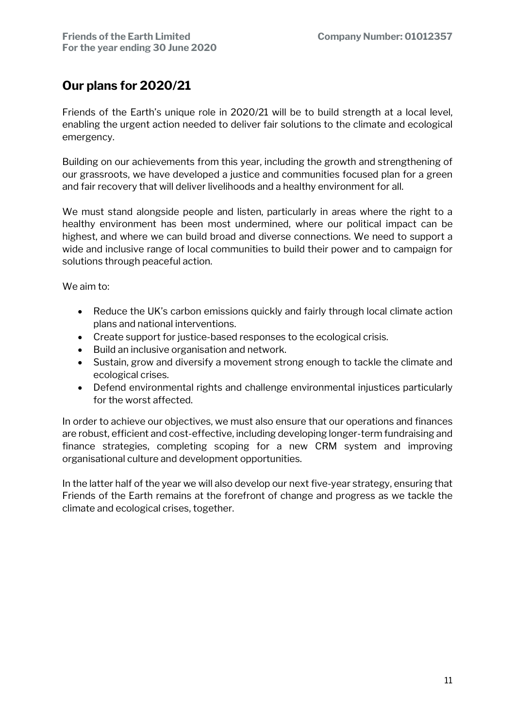### Our plans for 2020/21

Friends of the Earth's unique role in 2020/21 will be to build strength at a local level, enabling the urgent action needed to deliver fair solutions to the climate and ecological emergency.

Building on our achievements from this year, including the growth and strengthening of our grassroots, we have developed a justice and communities focused plan for a green and fair recovery that will deliver livelihoods and a healthy environment for all.

We must stand alongside people and listen, particularly in areas where the right to a healthy environment has been most undermined, where our political impact can be highest, and where we can build broad and diverse connections. We need to support a wide and inclusive range of local communities to build their power and to campaign for solutions through peaceful action.

We aim to:

- Reduce the UK's carbon emissions quickly and fairly through local climate action plans and national interventions.
- Create support for justice-based responses to the ecological crisis.
- Build an inclusive organisation and network.
- Sustain, grow and diversify a movement strong enough to tackle the climate and ecological crises.
- Defend environmental rights and challenge environmental injustices particularly for the worst affected.

In order to achieve our objectives, we must also ensure that our operations and finances are robust, efficient and cost-effective, including developing longer-term fundraising and finance strategies, completing scoping for a new CRM system and improving organisational culture and development opportunities.

In the latter half of the year we will also develop our next five-year strategy, ensuring that Friends of the Earth remains at the forefront of change and progress as we tackle the climate and ecological crises, together.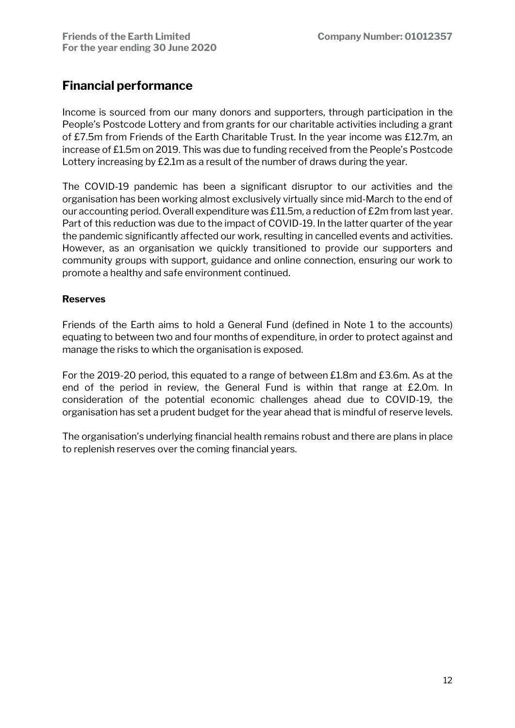### Financial performance

Income is sourced from our many donors and supporters, through participation in the People's Postcode Lottery and from grants for our charitable activities including a grant of £7.5m from Friends of the Earth Charitable Trust. In the year income was £12.7m, an increase of £1.5m on 2019. This was due to funding received from the People's Postcode Lottery increasing by £2.1m as a result of the number of draws during the year.

The COVID-19 pandemic has been a significant disruptor to our activities and the organisation has been working almost exclusively virtually since mid-March to the end of our accounting period. Overall expenditure was £11.5m, a reduction of £2m from last year. Part of this reduction was due to the impact of COVID-19. In the latter quarter of the year the pandemic significantly affected our work, resulting in cancelled events and activities. However, as an organisation we quickly transitioned to provide our supporters and community groups with support, guidance and online connection, ensuring our work to promote a healthy and safe environment continued.

### Reserves

Friends of the Earth aims to hold a General Fund (defined in Note 1 to the accounts) equating to between two and four months of expenditure, in order to protect against and manage the risks to which the organisation is exposed.

For the 2019-20 period, this equated to a range of between £1.8m and £3.6m. As at the end of the period in review, the General Fund is within that range at £2.0m. In consideration of the potential economic challenges ahead due to COVID-19, the organisation has set a prudent budget for the year ahead that is mindful of reserve levels.

The organisation's underlying financial health remains robust and there are plans in place to replenish reserves over the coming financial years.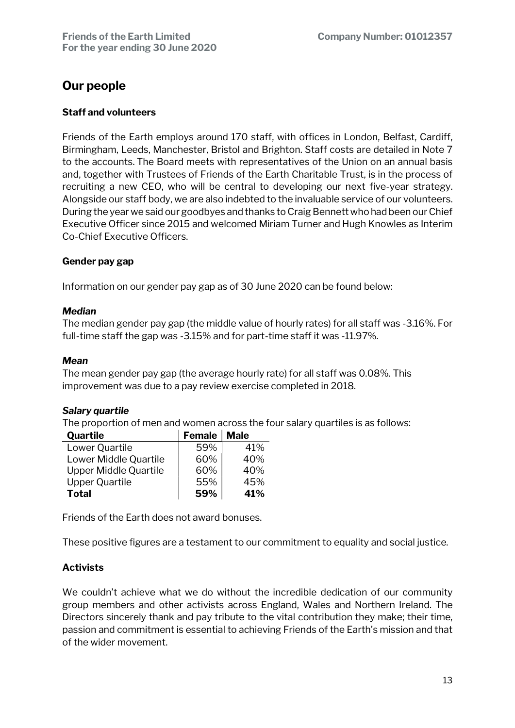### Our people

### Staff and volunteers

Friends of the Earth employs around 170 staff, with offices in London, Belfast, Cardiff, Birmingham, Leeds, Manchester, Bristol and Brighton. Staff costs are detailed in Note 7 to the accounts. The Board meets with representatives of the Union on an annual basis and, together with Trustees of Friends of the Earth Charitable Trust, is in the process of recruiting a new CEO, who will be central to developing our next five-year strategy. Alongside our staff body, we are also indebted to the invaluable service of our volunteers. During the year we said our goodbyes and thanks to Craig Bennett who had been our Chief Executive Officer since 2015 and welcomed Miriam Turner and Hugh Knowles as Interim Co-Chief Executive Officers.

### Gender pay gap

Information on our gender pay gap as of 30 June 2020 can be found below:

### Median

The median gender pay gap (the middle value of hourly rates) for all staff was -3.16%. For full-time staff the gap was -3.15% and for part-time staff it was -11.97%.

#### Mean

The mean gender pay gap (the average hourly rate) for all staff was 0.08%. This improvement was due to a pay review exercise completed in 2018.

### Salary quartile

The proportion of men and women across the four salary quartiles is as follows:

| <b>Quartile</b>              | <b>Female</b> | <b>Male</b> |
|------------------------------|---------------|-------------|
| Lower Quartile               | 59%           | 41%         |
| Lower Middle Quartile        | 60%           | 40%         |
| <b>Upper Middle Quartile</b> | 60%           | 40%         |
| <b>Upper Quartile</b>        | 55%           | 45%         |
| <b>Total</b>                 | 59%           | 41%         |

Friends of the Earth does not award bonuses.

These positive figures are a testament to our commitment to equality and social justice.

### **Activists**

We couldn't achieve what we do without the incredible dedication of our community group members and other activists across England, Wales and Northern Ireland. The Directors sincerely thank and pay tribute to the vital contribution they make; their time, passion and commitment is essential to achieving Friends of the Earth's mission and that of the wider movement.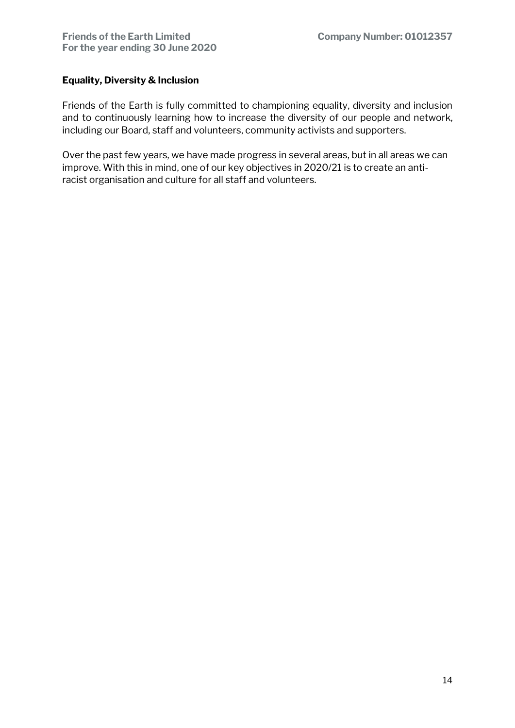### Equality, Diversity & Inclusion

Friends of the Earth is fully committed to championing equality, diversity and inclusion and to continuously learning how to increase the diversity of our people and network, including our Board, staff and volunteers, community activists and supporters.

Over the past few years, we have made progress in several areas, but in all areas we can improve. With this in mind, one of our key objectives in 2020/21 is to create an antiracist organisation and culture for all staff and volunteers.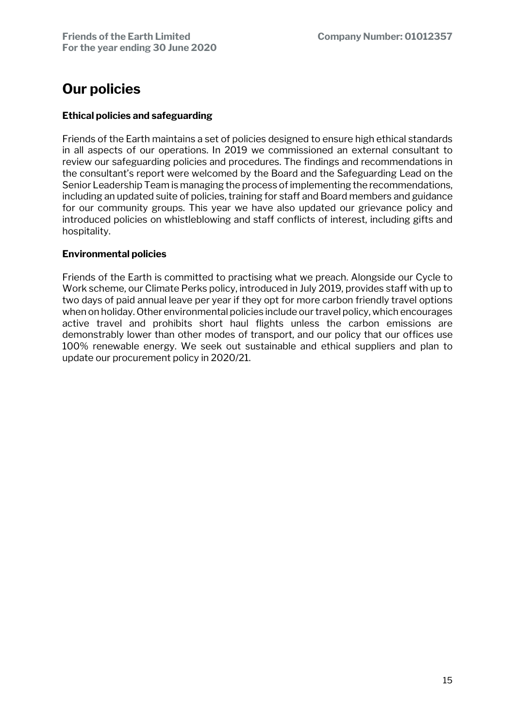## Our policies

### Ethical policies and safeguarding

Friends of the Earth maintains a set of policies designed to ensure high ethical standards in all aspects of our operations. In 2019 we commissioned an external consultant to review our safeguarding policies and procedures. The findings and recommendations in the consultant's report were welcomed by the Board and the Safeguarding Lead on the Senior Leadership Team is managing the process of implementing the recommendations, including an updated suite of policies, training for staff and Board members and guidance for our community groups. This year we have also updated our grievance policy and introduced policies on whistleblowing and staff conflicts of interest, including gifts and hospitality.

### Environmental policies

Friends of the Earth is committed to practising what we preach. Alongside our Cycle to Work scheme, our Climate Perks policy, introduced in July 2019, provides staff with up to two days of paid annual leave per year if they opt for more carbon friendly travel options when on holiday. Other environmental policies include our travel policy, which encourages active travel and prohibits short haul flights unless the carbon emissions are demonstrably lower than other modes of transport, and our policy that our offices use 100% renewable energy. We seek out sustainable and ethical suppliers and plan to update our procurement policy in 2020/21.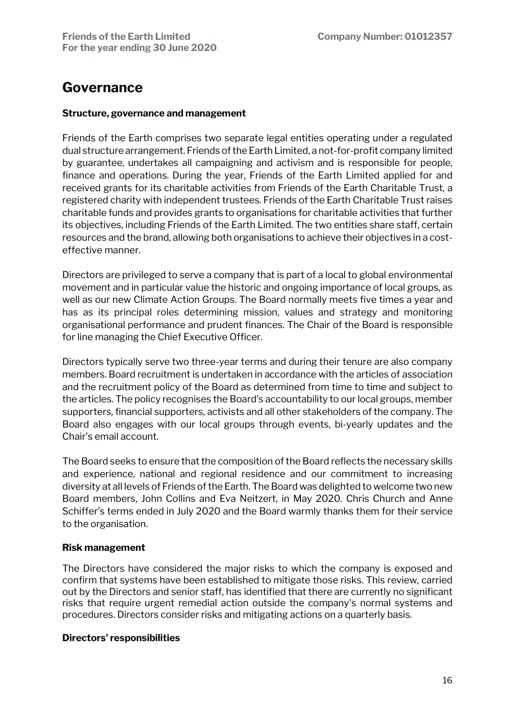## Governance

#### Structure, governance and management

Friends of the Earth comprises two separate legal entities operating under a regulated dual structure arrangement. Friends of the Earth Limited, a not-for-profit company limited by guarantee, undertakes all campaigning and activism and is responsible for people, finance and operations. During the year, Friends of the Earth Limited applied for and received grants for its charitable activities from Friends of the Earth Charitable Trust, a registered charity with independent trustees. Friends of the Earth Charitable Trust raises charitable funds and provides grants to organisations for charitable activities that further its objectives, including Friends of the Earth Limited. The two entities share staff, certain resources and the brand, allowing both organisations to achieve their objectives in a costeffective manner.

Directors are privileged to serve a company that is part of a local to global environmental movement and in particular value the historic and ongoing importance of local groups, as well as our new Climate Action Groups. The Board normally meets five times a year and has as its principal roles determining mission, values and strategy and monitoring organisational performance and prudent finances. The Chair of the Board is responsible for line managing the Chief Executive Officer.

Directors typically serve two three-year terms and during their tenure are also company members. Board recruitment is undertaken in accordance with the articles of association and the recruitment policy of the Board as determined from time to time and subject to the articles. The policy recognises the Board's accountability to our local groups, member supporters, financial supporters, activists and all other stakeholders of the company. The Board also engages with our local groups through events, bi-yearly updates and the Chair's email account.

The Board seeks to ensure that the composition of the Board reflects the necessary skills and experience, national and regional residence and our commitment to increasing diversity at all levels of Friends of the Earth. The Board was delighted to welcome two new Board members, John Collins and Eva Neitzert, in May 2020. Chris Church and Anne Schiffer's terms ended in July 2020 and the Board warmly thanks them for their service to the organisation.

### Risk management

The Directors have considered the major risks to which the company is exposed and confirm that systems have been established to mitigate those risks. This review, carried out by the Directors and senior staff, has identified that there are currently no significant risks that require urgent remedial action outside the company's normal systems and procedures. Directors consider risks and mitigating actions on a quarterly basis.

### Directors' responsibilities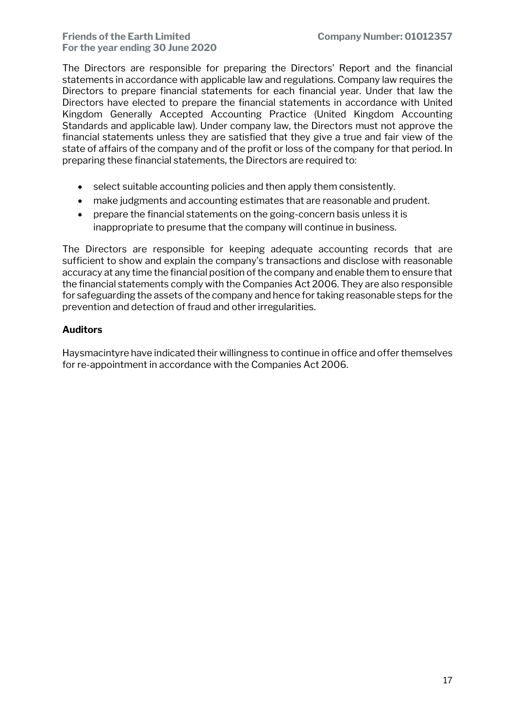The Directors are responsible for preparing the Directors' Report and the financial statements in accordance with applicable law and regulations. Company law requires the Directors to prepare financial statements for each financial year. Under that law the Directors have elected to prepare the financial statements in accordance with United Kingdom Generally Accepted Accounting Practice (United Kingdom Accounting Standards and applicable law). Under company law, the Directors must not approve the financial statements unless they are satisfied that they give a true and fair view of the state of affairs of the company and of the profit or loss of the company for that period. In preparing these financial statements, the Directors are required to:

- select suitable accounting policies and then apply them consistently.
- make judgments and accounting estimates that are reasonable and prudent.
- prepare the financial statements on the going-concern basis unless it is inappropriate to presume that the company will continue in business.

The Directors are responsible for keeping adequate accounting records that are sufficient to show and explain the company's transactions and disclose with reasonable accuracy at any time the financial position of the company and enable them to ensure that the financial statements comply with the Companies Act 2006. They are also responsible for safeguarding the assets of the company and hence for taking reasonable steps for the prevention and detection of fraud and other irregularities.

### Auditors

Haysmacintyre have indicated their willingness to continue in office and offer themselves for re-appointment in accordance with the Companies Act 2006.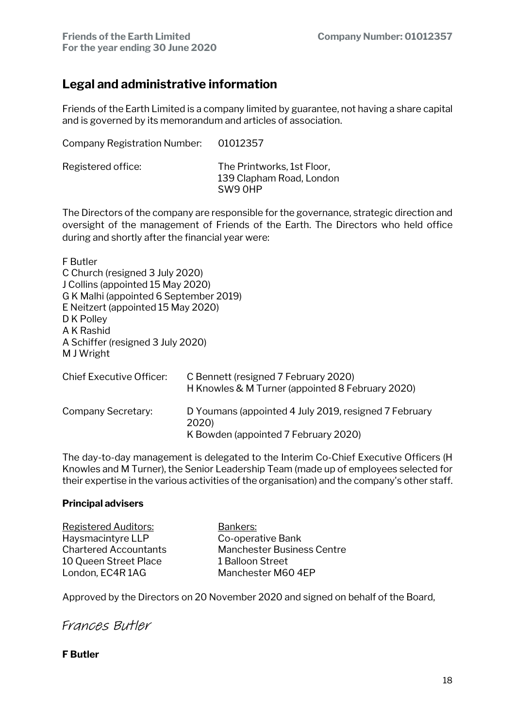### Legal and administrative information

Company Registration Number: 01012357

Friends of the Earth Limited is a company limited by guarantee, not having a share capital and is governed by its memorandum and articles of association.

| Registered office: | The Printworks, 1st Floor,<br>139 Clapham Road, London<br>SW9 OHP |
|--------------------|-------------------------------------------------------------------|
|                    |                                                                   |

The Directors of the company are responsible for the governance, strategic direction and oversight of the management of Friends of the Earth. The Directors who held office during and shortly after the financial year were:

| F Butler                               |                                                       |
|----------------------------------------|-------------------------------------------------------|
| C Church (resigned 3 July 2020)        |                                                       |
| J Collins (appointed 15 May 2020)      |                                                       |
| G K Malhi (appointed 6 September 2019) |                                                       |
| E Neitzert (appointed 15 May 2020)     |                                                       |
| D K Polley                             |                                                       |
| A K Rashid                             |                                                       |
| A Schiffer (resigned 3 July 2020)      |                                                       |
| M J Wright                             |                                                       |
| <b>Chief Executive Officer:</b>        | C Bennett (resigned 7 February 2020)                  |
|                                        | H Knowles & M Turner (appointed 8 February 2020)      |
| Company Secretary:                     | D Youmans (appointed 4 July 2019, resigned 7 February |
|                                        | 2020)                                                 |
|                                        | K Bowden (appointed 7 February 2020)                  |

The day-to-day management is delegated to the Interim Co-Chief Executive Officers (H Knowles and M Turner), the Senior Leadership Team (made up of employees selected for their expertise in the various activities of the organisation) and the company's other staff.

### Principal advisers

| <b>Registered Auditors:</b>  | Bankers:                          |
|------------------------------|-----------------------------------|
| Haysmacintyre LLP            | Co-operative Bank                 |
| <b>Chartered Accountants</b> | <b>Manchester Business Centre</b> |
| 10 Queen Street Place        | 1 Balloon Street                  |
| London, EC4R 1AG             | Manchester M60 4EP                |

Approved by the Directors on 20 November 2020 and signed on behalf of the Board,

[Frances Butler](https://haysmacintyre.eu1.documents.adobe.com/verifier?tx=CBJCHBCAABAAP_XzV2v9b122WssvjBQ1Om6pnvYe57C0)

### F Butler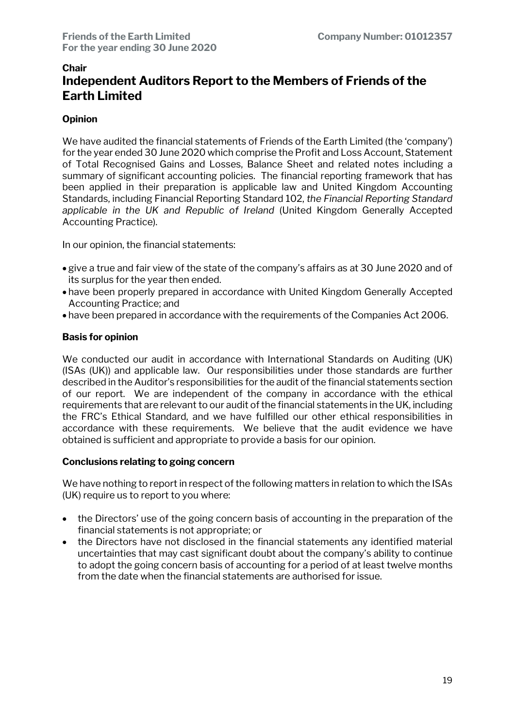# **Chair**

## Independent Auditors Report to the Members of Friends of the Earth Limited

### **Opinion**

We have audited the financial statements of Friends of the Earth Limited (the 'company') for the year ended 30 June 2020 which comprise the Profit and Loss Account, Statement of Total Recognised Gains and Losses, Balance Sheet and related notes including a summary of significant accounting policies. The financial reporting framework that has been applied in their preparation is applicable law and United Kingdom Accounting Standards, including Financial Reporting Standard 102, the Financial Reporting Standard applicable in the UK and Republic of Ireland (United Kingdom Generally Accepted Accounting Practice).

In our opinion, the financial statements:

- give a true and fair view of the state of the company's affairs as at 30 June 2020 and of its surplus for the year then ended.
- have been properly prepared in accordance with United Kingdom Generally Accepted Accounting Practice; and
- have been prepared in accordance with the requirements of the Companies Act 2006.

### Basis for opinion

We conducted our audit in accordance with International Standards on Auditing (UK) (ISAs (UK)) and applicable law. Our responsibilities under those standards are further described in the Auditor's responsibilities for the audit of the financial statements section of our report. We are independent of the company in accordance with the ethical requirements that are relevant to our audit of the financial statements in the UK, including the FRC's Ethical Standard, and we have fulfilled our other ethical responsibilities in accordance with these requirements. We believe that the audit evidence we have obtained is sufficient and appropriate to provide a basis for our opinion.

### Conclusions relating to going concern

We have nothing to report in respect of the following matters in relation to which the ISAs (UK) require us to report to you where:

- the Directors' use of the going concern basis of accounting in the preparation of the financial statements is not appropriate; or
- the Directors have not disclosed in the financial statements any identified material uncertainties that may cast significant doubt about the company's ability to continue to adopt the going concern basis of accounting for a period of at least twelve months from the date when the financial statements are authorised for issue.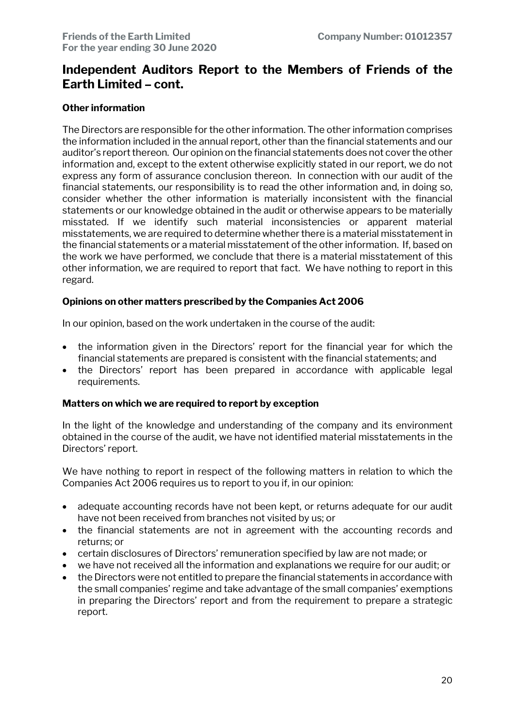### Independent Auditors Report to the Members of Friends of the Earth Limited – cont.

### Other information

The Directors are responsible for the other information. The other information comprises the information included in the annual report, other than the financial statements and our auditor's report thereon. Our opinion on the financial statements does not cover the other information and, except to the extent otherwise explicitly stated in our report, we do not express any form of assurance conclusion thereon. In connection with our audit of the financial statements, our responsibility is to read the other information and, in doing so, consider whether the other information is materially inconsistent with the financial statements or our knowledge obtained in the audit or otherwise appears to be materially misstated. If we identify such material inconsistencies or apparent material misstatements, we are required to determine whether there is a material misstatement in the financial statements or a material misstatement of the other information. If, based on the work we have performed, we conclude that there is a material misstatement of this other information, we are required to report that fact. We have nothing to report in this regard.

### Opinions on other matters prescribed by the Companies Act 2006

In our opinion, based on the work undertaken in the course of the audit:

- the information given in the Directors' report for the financial year for which the financial statements are prepared is consistent with the financial statements; and
- the Directors' report has been prepared in accordance with applicable legal requirements.

### Matters on which we are required to report by exception

In the light of the knowledge and understanding of the company and its environment obtained in the course of the audit, we have not identified material misstatements in the Directors' report.

We have nothing to report in respect of the following matters in relation to which the Companies Act 2006 requires us to report to you if, in our opinion:

- adequate accounting records have not been kept, or returns adequate for our audit have not been received from branches not visited by us; or
- the financial statements are not in agreement with the accounting records and returns; or
- certain disclosures of Directors' remuneration specified by law are not made; or
- we have not received all the information and explanations we require for our audit; or
- the Directors were not entitled to prepare the financial statements in accordance with the small companies' regime and take advantage of the small companies' exemptions in preparing the Directors' report and from the requirement to prepare a strategic report.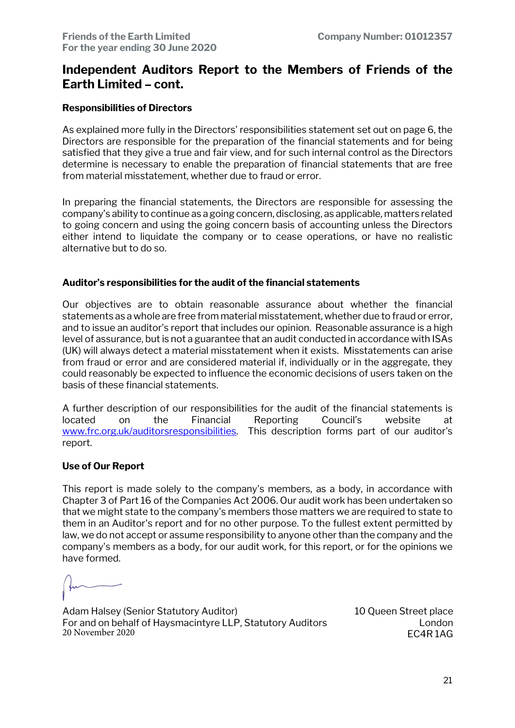### Independent Auditors Report to the Members of Friends of the Earth Limited – cont.

### Responsibilities of Directors

As explained more fully in the Directors' responsibilities statement set out on page 6, the Directors are responsible for the preparation of the financial statements and for being satisfied that they give a true and fair view, and for such internal control as the Directors determine is necessary to enable the preparation of financial statements that are free from material misstatement, whether due to fraud or error.

In preparing the financial statements, the Directors are responsible for assessing the company's ability to continue as a going concern, disclosing, as applicable, matters related to going concern and using the going concern basis of accounting unless the Directors either intend to liquidate the company or to cease operations, or have no realistic alternative but to do so.

### Auditor's responsibilities for the audit of the financial statements

Our objectives are to obtain reasonable assurance about whether the financial statements as a whole are free from material misstatement, whether due to fraud or error, and to issue an auditor's report that includes our opinion. Reasonable assurance is a high level of assurance, but is not a guarantee that an audit conducted in accordance with ISAs (UK) will always detect a material misstatement when it exists. Misstatements can arise from fraud or error and are considered material if, individually or in the aggregate, they could reasonably be expected to influence the economic decisions of users taken on the basis of these financial statements.

A further description of our responsibilities for the audit of the financial statements is located on the Financial Reporting Council's website at www.frc.org.uk/auditorsresponsibilities. This description forms part of our auditor's report.

### Use of Our Report

This report is made solely to the company's members, as a body, in accordance with Chapter 3 of Part 16 of the Companies Act 2006. Our audit work has been undertaken so that we might state to the company's members those matters we are required to state to them in an Auditor's report and for no other purpose. To the fullest extent permitted by law, we do not accept or assume responsibility to anyone other than the company and the company's members as a body, for our audit work, for this report, or for the opinions we have formed.

Adam Halsey (Senior Statutory Auditor) For and on behalf of Haysmacintyre LLP, Statutory Auditors 20 November 2020 EC4R 1AG

 10 Queen Street place London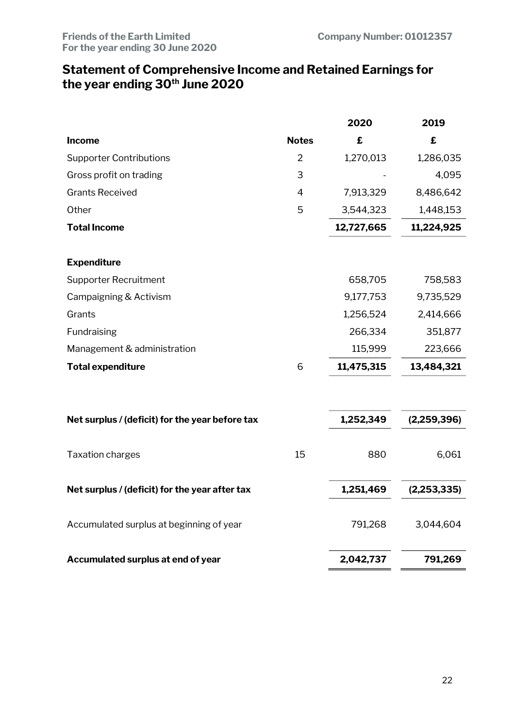## Statement of Comprehensive Income and Retained Earnings for the year ending 30<sup>th</sup> June 2020

|                                                 |                | 2020       | 2019          |
|-------------------------------------------------|----------------|------------|---------------|
| <b>Income</b>                                   | <b>Notes</b>   | £          | £             |
| <b>Supporter Contributions</b>                  | $\overline{2}$ | 1,270,013  | 1,286,035     |
| Gross profit on trading                         | 3              |            | 4,095         |
| <b>Grants Received</b>                          | 4              | 7,913,329  | 8,486,642     |
| Other                                           | 5              | 3,544,323  | 1,448,153     |
| <b>Total Income</b>                             |                | 12,727,665 | 11,224,925    |
| <b>Expenditure</b>                              |                |            |               |
| <b>Supporter Recruitment</b>                    |                | 658,705    | 758,583       |
| Campaigning & Activism                          |                | 9,177,753  | 9,735,529     |
| Grants                                          |                | 1,256,524  | 2,414,666     |
| Fundraising                                     |                | 266,334    | 351,877       |
| Management & administration                     |                | 115,999    | 223,666       |
| <b>Total expenditure</b>                        | 6              | 11,475,315 | 13,484,321    |
|                                                 |                |            |               |
| Net surplus / (deficit) for the year before tax |                | 1,252,349  | (2,259,396)   |
| Taxation charges                                | 15             | 880        | 6,061         |
| Net surplus / (deficit) for the year after tax  |                | 1,251,469  | (2, 253, 335) |
| Accumulated surplus at beginning of year        |                | 791,268    | 3,044,604     |
| Accumulated surplus at end of year              |                | 2,042,737  | 791,269       |

 $\overline{\phantom{a}}$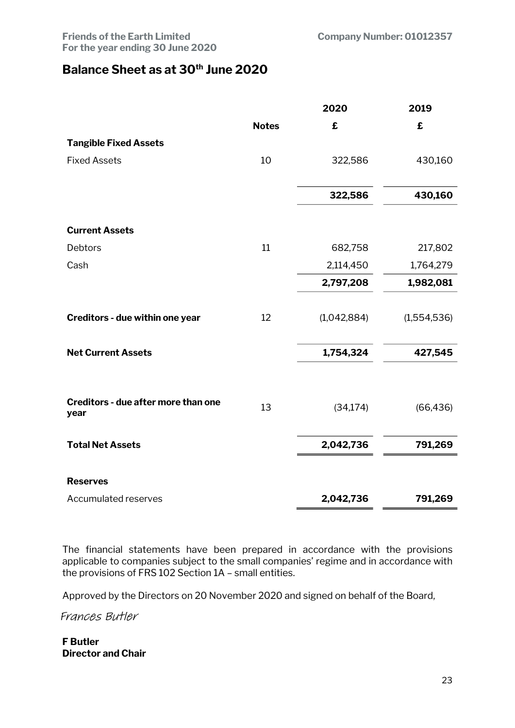### Balance Sheet as at 30<sup>th</sup> June 2020

|                                             |              | 2020        | 2019        |
|---------------------------------------------|--------------|-------------|-------------|
|                                             | <b>Notes</b> | £           | £           |
| <b>Tangible Fixed Assets</b>                |              |             |             |
| <b>Fixed Assets</b>                         | 10           | 322,586     | 430,160     |
|                                             |              | 322,586     | 430,160     |
| <b>Current Assets</b>                       |              |             |             |
| Debtors                                     | 11           | 682,758     | 217,802     |
| Cash                                        |              | 2,114,450   | 1,764,279   |
|                                             |              | 2,797,208   | 1,982,081   |
| Creditors - due within one year             | 12           | (1,042,884) | (1,554,536) |
| <b>Net Current Assets</b>                   |              | 1,754,324   | 427,545     |
| Creditors - due after more than one<br>year | 13           | (34, 174)   | (66, 436)   |
| <b>Total Net Assets</b>                     |              | 2,042,736   | 791,269     |
| <b>Reserves</b>                             |              |             |             |
| Accumulated reserves                        |              | 2,042,736   | 791,269     |

The financial statements have been prepared in accordance with the provisions applicable to companies subject to the small companies' regime and in accordance with the provisions of FRS 102 Section 1A – small entities.

Approved by the Directors on 20 November 2020 and signed on behalf of the Board,

[Frances Butler](https://haysmacintyre.eu1.documents.adobe.com/verifier?tx=CBJCHBCAABAAP_XzV2v9b122WssvjBQ1Om6pnvYe57C0)

F Butler Director and Chair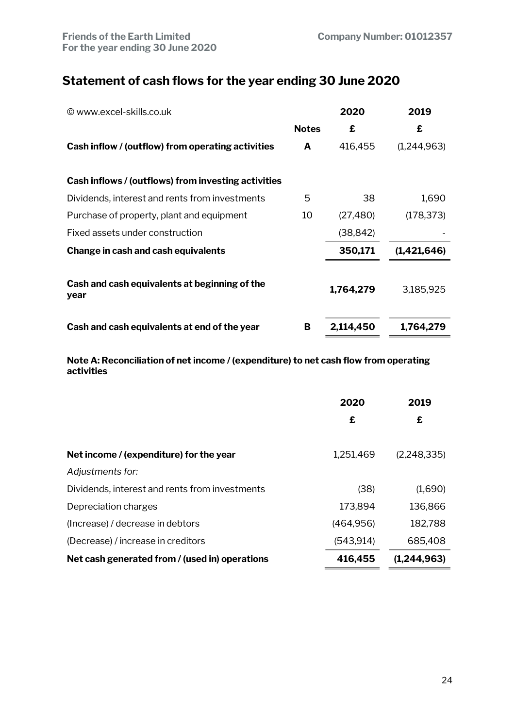## Statement of cash flows for the year ending 30 June 2020

| © www.excel-skills.co.uk                              |              | 2020      | 2019        |
|-------------------------------------------------------|--------------|-----------|-------------|
|                                                       | <b>Notes</b> | £         | £           |
| Cash inflow / (outflow) from operating activities     | A            | 416,455   | (1,244,963) |
| Cash inflows / (outflows) from investing activities   |              |           |             |
| Dividends, interest and rents from investments        | 5            | 38        | 1,690       |
| Purchase of property, plant and equipment             | 10           | (27, 480) | (178, 373)  |
| Fixed assets under construction                       |              | (38, 842) |             |
| Change in cash and cash equivalents                   |              | 350,171   | (1,421,646) |
| Cash and cash equivalents at beginning of the<br>year |              | 1,764,279 | 3,185,925   |
| Cash and cash equivalents at end of the year          | в            | 2,114,450 | 1,764,279   |

Note A: Reconciliation of net income / (expenditure) to net cash flow from operating activities

|                                                | 2020<br>£  | 2019<br>£   |
|------------------------------------------------|------------|-------------|
| Net income / (expenditure) for the year        | 1,251,469  | (2,248,335) |
| Adjustments for:                               |            |             |
| Dividends, interest and rents from investments | (38)       | (1,690)     |
| Depreciation charges                           | 173,894    | 136,866     |
| (Increase) / decrease in debtors               | (464.956)  | 182,788     |
| (Decrease) / increase in creditors             | (543, 914) | 685,408     |
| Net cash generated from / (used in) operations | 416,455    | (1,244,963) |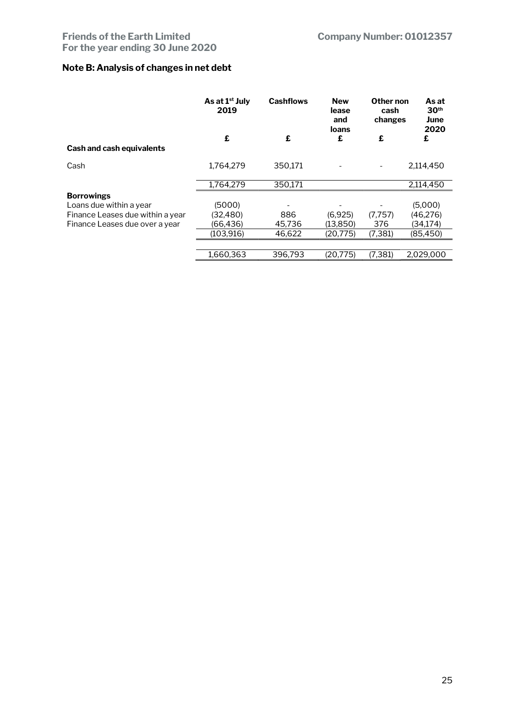### Note B: Analysis of changes in net debt

| As at 1 <sup>st</sup> July<br>2019 | <b>Cashflows</b> | <b>New</b><br>lease<br>and | Other non<br>cash<br>changes | As at<br>30 <sup>th</sup><br>June<br>2020 |
|------------------------------------|------------------|----------------------------|------------------------------|-------------------------------------------|
| £                                  | £                | £                          | £                            | £                                         |
|                                    |                  |                            |                              |                                           |
| 1,764,279                          | 350,171          |                            |                              | 2,114,450                                 |
| 1,764,279                          | 350,171          |                            |                              | 2,114,450                                 |
|                                    |                  |                            |                              |                                           |
| (5000)                             |                  |                            |                              | (5,000)                                   |
| (32,480)                           | 886              | (6.925)                    | (7.757)                      | (46,276)                                  |
| (66,436)                           | 45,736           | (13,850)                   | 376                          | (34,174)                                  |
| (103, 916)                         | 46,622           | (20,775)                   | (7, 381)                     | (85, 450)                                 |
|                                    |                  |                            |                              |                                           |
| 1.660.363                          | 396.793          | (20.775)                   | (7, 381)                     | 2.029.000                                 |
|                                    |                  |                            | loans                        |                                           |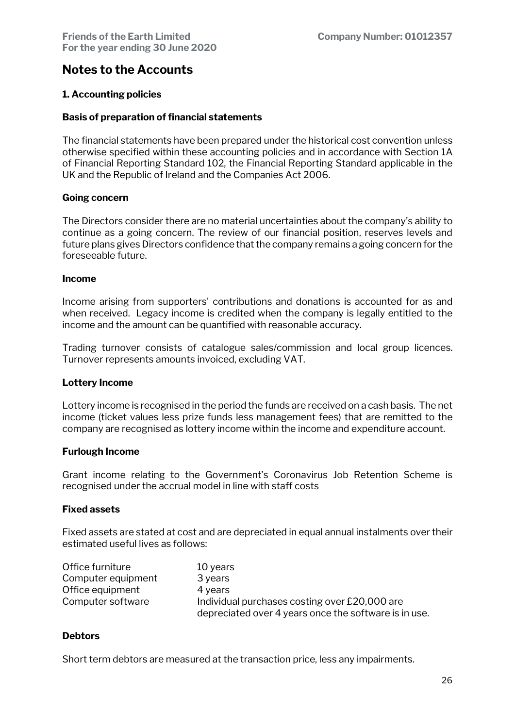### Notes to the Accounts

### 1. Accounting policies

### Basis of preparation of financial statements

The financial statements have been prepared under the historical cost convention unless otherwise specified within these accounting policies and in accordance with Section 1A of Financial Reporting Standard 102, the Financial Reporting Standard applicable in the UK and the Republic of Ireland and the Companies Act 2006.

#### Going concern

The Directors consider there are no material uncertainties about the company's ability to continue as a going concern. The review of our financial position, reserves levels and future plans gives Directors confidence that the company remains a going concern for the foreseeable future.

#### Income

Income arising from supporters' contributions and donations is accounted for as and when received. Legacy income is credited when the company is legally entitled to the income and the amount can be quantified with reasonable accuracy.

Trading turnover consists of catalogue sales/commission and local group licences. Turnover represents amounts invoiced, excluding VAT.

### Lottery Income

Lottery income is recognised in the period the funds are received on a cash basis. The net income (ticket values less prize funds less management fees) that are remitted to the company are recognised as lottery income within the income and expenditure account.

#### Furlough Income

Grant income relating to the Government's Coronavirus Job Retention Scheme is recognised under the accrual model in line with staff costs

### Fixed assets

Fixed assets are stated at cost and are depreciated in equal annual instalments over their estimated useful lives as follows:

| Office furniture   | 10 years                                              |
|--------------------|-------------------------------------------------------|
| Computer equipment | 3 years                                               |
| Office equipment   | 4 years                                               |
| Computer software  | Individual purchases costing over £20,000 are         |
|                    | depreciated over 4 years once the software is in use. |

#### **Debtors**

Short term debtors are measured at the transaction price, less any impairments.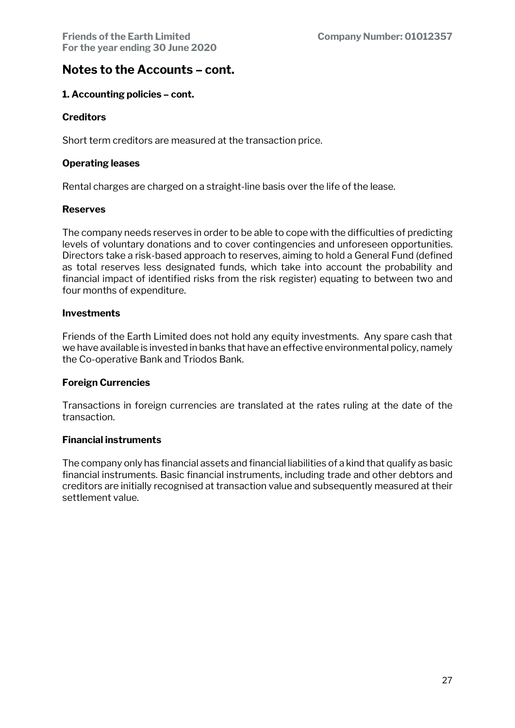### 1. Accounting policies – cont.

### **Creditors**

Short term creditors are measured at the transaction price.

### Operating leases

Rental charges are charged on a straight-line basis over the life of the lease.

### Reserves

The company needs reserves in order to be able to cope with the difficulties of predicting levels of voluntary donations and to cover contingencies and unforeseen opportunities. Directors take a risk-based approach to reserves, aiming to hold a General Fund (defined as total reserves less designated funds, which take into account the probability and financial impact of identified risks from the risk register) equating to between two and four months of expenditure.

### **Investments**

Friends of the Earth Limited does not hold any equity investments. Any spare cash that we have available is invested in banks that have an effective environmental policy, namely the Co-operative Bank and Triodos Bank.

### Foreign Currencies

Transactions in foreign currencies are translated at the rates ruling at the date of the transaction.

### Financial instruments

The company only has financial assets and financial liabilities of a kind that qualify as basic financial instruments. Basic financial instruments, including trade and other debtors and creditors are initially recognised at transaction value and subsequently measured at their settlement value.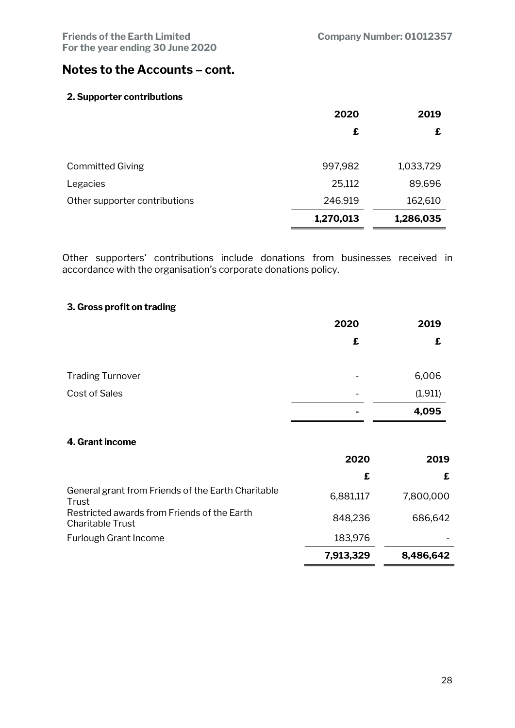### 2. Supporter contributions

| 2020      | 2019      |
|-----------|-----------|
| £         | £         |
|           |           |
| 997,982   | 1,033,729 |
| 25,112    | 89,696    |
| 246,919   | 162,610   |
| 1,270,013 | 1,286,035 |
|           |           |

Other supporters' contributions include donations from businesses received in accordance with the organisation's corporate donations policy.

### 3. Gross profit on trading

|                         | 2020                     | 2019     |
|-------------------------|--------------------------|----------|
|                         | £                        | £        |
| <b>Trading Turnover</b> | $\overline{\phantom{a}}$ | 6,006    |
| <b>Cost of Sales</b>    | $\overline{\phantom{a}}$ | (1, 911) |
|                         | $\blacksquare$           | 4,095    |

### 4. Grant income

|                                                                 | 2020      | 2019      |
|-----------------------------------------------------------------|-----------|-----------|
|                                                                 | £         |           |
| General grant from Friends of the Earth Charitable<br>Trust     | 6,881,117 | 7,800,000 |
| Restricted awards from Friends of the Earth<br>Charitable Trust | 848,236   | 686,642   |
| <b>Furlough Grant Income</b>                                    | 183,976   |           |
|                                                                 | 7,913,329 | 8,486,642 |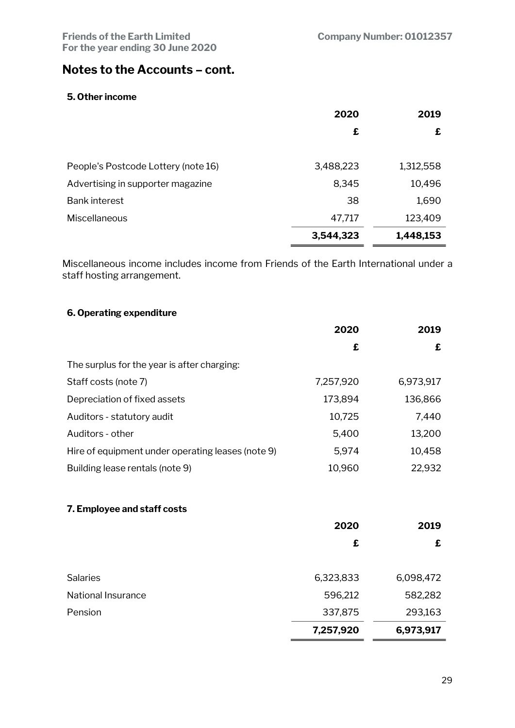### 5. Other income

|                                     | 2020      | 2019      |
|-------------------------------------|-----------|-----------|
|                                     | £         | £         |
| People's Postcode Lottery (note 16) | 3,488,223 | 1,312,558 |
| Advertising in supporter magazine   | 8,345     | 10,496    |
| <b>Bank interest</b>                | 38        | 1,690     |
| <b>Miscellaneous</b>                | 47,717    | 123,409   |
|                                     | 3,544,323 | 1,448,153 |

Miscellaneous income includes income from Friends of the Earth International under a staff hosting arrangement.

### 6. Operating expenditure

|                                                   | 2020      | 2019      |
|---------------------------------------------------|-----------|-----------|
|                                                   | £         | £         |
| The surplus for the year is after charging:       |           |           |
| Staff costs (note 7)                              | 7,257,920 | 6,973,917 |
| Depreciation of fixed assets                      | 173,894   | 136,866   |
| Auditors - statutory audit                        | 10,725    | 7,440     |
| Auditors - other                                  | 5,400     | 13,200    |
| Hire of equipment under operating leases (note 9) | 5,974     | 10,458    |
| Building lease rentals (note 9)                   | 10,960    | 22,932    |
|                                                   |           |           |

### 7. Employee and staff costs

|                           | 2020      | 2019      |
|---------------------------|-----------|-----------|
|                           | £         | £         |
|                           |           |           |
| <b>Salaries</b>           | 6,323,833 | 6,098,472 |
| <b>National Insurance</b> | 596,212   | 582,282   |
| Pension                   | 337,875   | 293,163   |
|                           | 7,257,920 | 6,973,917 |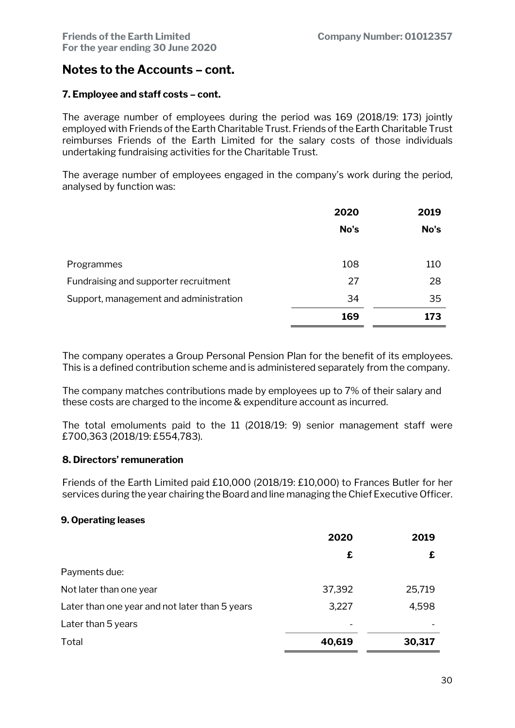### 7. Employee and staff costs – cont.

The average number of employees during the period was 169 (2018/19: 173) jointly employed with Friends of the Earth Charitable Trust. Friends of the Earth Charitable Trust reimburses Friends of the Earth Limited for the salary costs of those individuals undertaking fundraising activities for the Charitable Trust.

The average number of employees engaged in the company's work during the period, analysed by function was:

|                                        | 2020 | 2019 |
|----------------------------------------|------|------|
|                                        | No's | No's |
|                                        |      |      |
| Programmes                             | 108  | 110  |
| Fundraising and supporter recruitment  | 27   | 28   |
| Support, management and administration | 34   | 35   |
|                                        | 169  | 173  |

The company operates a Group Personal Pension Plan for the benefit of its employees. This is a defined contribution scheme and is administered separately from the company.

The company matches contributions made by employees up to 7% of their salary and these costs are charged to the income & expenditure account as incurred.

The total emoluments paid to the 11 (2018/19: 9) senior management staff were £700,363 (2018/19: £554,783).

### 8. Directors' remuneration

Friends of the Earth Limited paid £10,000 (2018/19: £10,000) to Frances Butler for her services during the year chairing the Board and line managing the Chief Executive Officer.

#### 9. Operating leases

|                                                | 2020   | 2019   |
|------------------------------------------------|--------|--------|
|                                                | £      | £      |
| Payments due:                                  |        |        |
| Not later than one year                        | 37,392 | 25,719 |
| Later than one year and not later than 5 years | 3,227  | 4,598  |
| Later than 5 years                             | -      |        |
| Total                                          | 40,619 | 30,317 |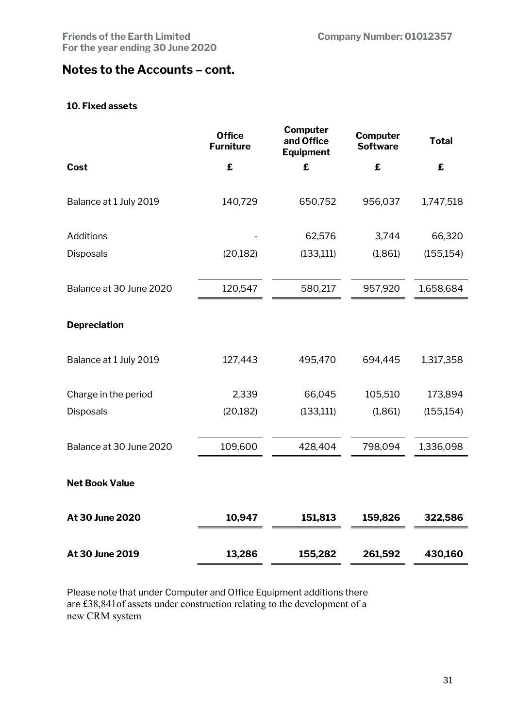### 10. Fixed assets

|                         | <b>Office</b><br><b>Furniture</b> | <b>Computer</b><br>and Office<br><b>Equipment</b> | <b>Computer</b><br><b>Software</b> | <b>Total</b> |
|-------------------------|-----------------------------------|---------------------------------------------------|------------------------------------|--------------|
| Cost                    | £                                 | £                                                 | £                                  | £            |
| Balance at 1 July 2019  | 140,729                           | 650,752                                           | 956,037                            | 1,747,518    |
| Additions               |                                   | 62,576                                            | 3,744                              | 66,320       |
| <b>Disposals</b>        | (20, 182)                         | (133, 111)                                        | (1,861)                            | (155, 154)   |
| Balance at 30 June 2020 | 120,547                           | 580,217                                           | 957,920                            | 1,658,684    |
| <b>Depreciation</b>     |                                   |                                                   |                                    |              |
| Balance at 1 July 2019  | 127,443                           | 495,470                                           | 694,445                            | 1,317,358    |
| Charge in the period    | 2,339                             | 66,045                                            | 105,510                            | 173,894      |
| <b>Disposals</b>        | (20, 182)                         | (133, 111)                                        | (1,861)                            | (155, 154)   |
| Balance at 30 June 2020 | 109,600                           | 428,404                                           | 798,094                            | 1,336,098    |
| <b>Net Book Value</b>   |                                   |                                                   |                                    |              |
| At 30 June 2020         | 10,947                            | 151,813                                           | 159,826                            | 322,586      |
| At 30 June 2019         | 13,286                            | 155,282                                           | 261,592                            | 430,160      |

Please note that under Computer and Office Equipment additions there are £38,841of assets under construction relating to the development of a new CRM system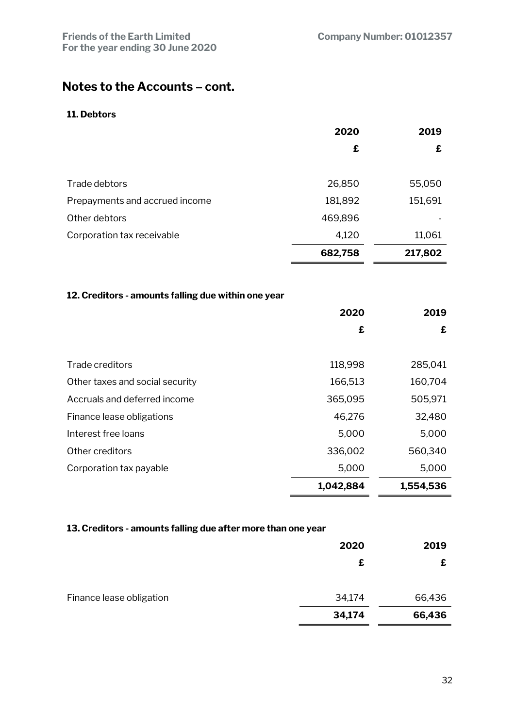#### 11. Debtors

|                                | 2020    | 2019    |
|--------------------------------|---------|---------|
|                                | £       | £       |
|                                |         |         |
| Trade debtors                  | 26,850  | 55,050  |
| Prepayments and accrued income | 181,892 | 151,691 |
| Other debtors                  | 469,896 |         |
| Corporation tax receivable     | 4,120   | 11,061  |
|                                | 682,758 | 217,802 |

### 12. Creditors - amounts falling due within one year

|                                 | 2020      | 2019      |
|---------------------------------|-----------|-----------|
|                                 | £         | £         |
|                                 |           |           |
| Trade creditors                 | 118,998   | 285,041   |
| Other taxes and social security | 166,513   | 160,704   |
| Accruals and deferred income    | 365,095   | 505,971   |
| Finance lease obligations       | 46,276    | 32,480    |
| Interest free loans             | 5,000     | 5,000     |
| Other creditors                 | 336,002   | 560,340   |
| Corporation tax payable         | 5,000     | 5,000     |
|                                 | 1,042,884 | 1,554,536 |

### 13. Creditors - amounts falling due after more than one year

|                          | 2020   | 2019   |
|--------------------------|--------|--------|
|                          | £      | £      |
| Finance lease obligation | 34,174 | 66,436 |
|                          | 34,174 | 66,436 |